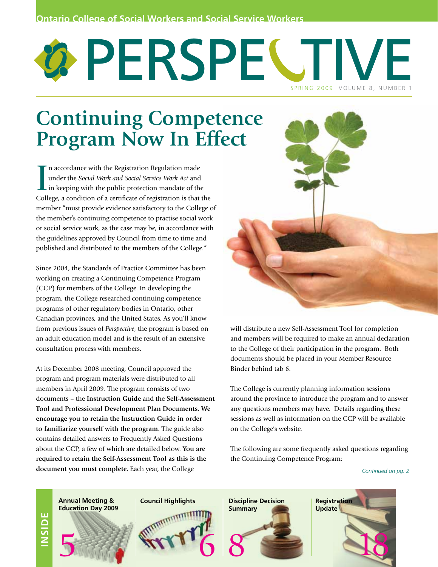# SPRING 2009 VOLUME 8, NUMBER 1 2 PERSPEC

# **Program Now In Effect Continuing Competence**

 n accordance with the Registration Regulation made under the *Social Work and Social Service Work Act* and in keeping with the public protection mandate of the In accordance with the Registration Regulation made<br>under the *Social Work and Social Service Work Act* and<br>in keeping with the public protection mandate of the<br>College, a condition of a certificate of registration is that member "must provide evidence satisfactory to the College of the member's continuing competence to practise social work or social service work, as the case may be, in accordance with the guidelines approved by Council from time to time and published and distributed to the members of the College."

 Since 2004, the Standards of Practice Committee has been working on creating a Continuing Competence Program (CCP) for members of the College. In developing the program, the College researched continuing competence programs of other regulatory bodies in Ontario, other Canadian provinces, and the United States. As you'll know from previous issues of *Perspective*, the program is based on an adult education model and is the result of an extensive consultation process with members.

 At its December 2008 meeting, Council approved the program and program materials were distributed to all members in April 2009. The program consists of two documents – the **Instruction Guide** and the **Self-Assessment Tool and Professional Development Plan Documents. We encourage you to retain the Instruction Guide in order to familiarize yourself with the program.** The guide also contains detailed answers to Frequently Asked Questions about the CCP, a few of which are detailed below. **You are required to retain the Self-Assessment Tool as this is the document you must complete.** Each year, the College



 will distribute a new Self-Assessment Tool for completion and members will be required to make an annual declaration to the College of their participation in the program. Both documents should be placed in your Member Resource Binder behind tab 6.

 The College is currently planning information sessions around the province to introduce the program and to answer any questions members may have. Details regarding these sessions as well as information on the CCP will be available on the College's website.

 The following are some frequently asked questions regarding the Continuing Competence Program: